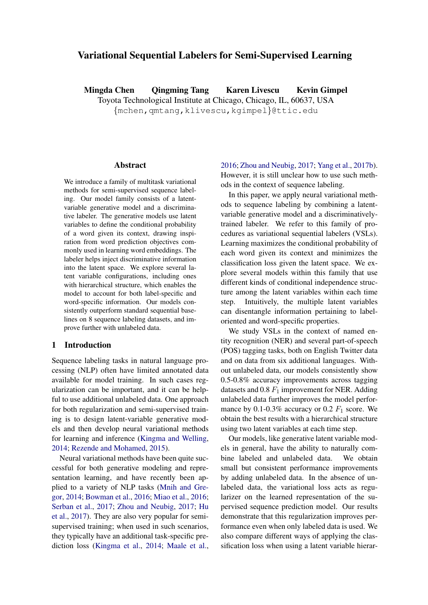# Variational Sequential Labelers for Semi-Supervised Learning

Mingda Chen Qingming Tang Karen Livescu Kevin Gimpel Toyota Technological Institute at Chicago, Chicago, IL, 60637, USA {mchen,qmtang,klivescu,kgimpel}@ttic.edu

## Abstract

We introduce a family of multitask variational methods for semi-supervised sequence labeling. Our model family consists of a latentvariable generative model and a discriminative labeler. The generative models use latent variables to define the conditional probability of a word given its context, drawing inspiration from word prediction objectives commonly used in learning word embeddings. The labeler helps inject discriminative information into the latent space. We explore several latent variable configurations, including ones with hierarchical structure, which enables the model to account for both label-specific and word-specific information. Our models consistently outperform standard sequential baselines on 8 sequence labeling datasets, and improve further with unlabeled data.

## 1 Introduction

Sequence labeling tasks in natural language processing (NLP) often have limited annotated data available for model training. In such cases regularization can be important, and it can be helpful to use additional unlabeled data. One approach for both regularization and semi-supervised training is to design latent-variable generative models and then develop neural variational methods for learning and inference [\(Kingma and Welling,](#page-9-0) [2014;](#page-9-0) [Rezende and Mohamed,](#page-10-0) [2015\)](#page-10-0).

Neural variational methods have been quite successful for both generative modeling and representation learning, and have recently been applied to a variety of NLP tasks [\(Mnih and Gre](#page-9-1)[gor,](#page-9-1) [2014;](#page-9-1) [Bowman et al.,](#page-8-0) [2016;](#page-8-0) [Miao et al.,](#page-9-2) [2016;](#page-9-2) [Serban et al.,](#page-10-1) [2017;](#page-10-1) [Zhou and Neubig,](#page-11-0) [2017;](#page-11-0) [Hu](#page-9-3) [et al.,](#page-9-3) [2017\)](#page-9-3). They are also very popular for semisupervised training; when used in such scenarios, they typically have an additional task-specific prediction loss [\(Kingma et al.,](#page-9-4) [2014;](#page-9-4) [Maale et al.,](#page-9-5) [2016;](#page-9-5) [Zhou and Neubig,](#page-11-0) [2017;](#page-11-0) [Yang et al.,](#page-10-2) [2017b\)](#page-10-2). However, it is still unclear how to use such methods in the context of sequence labeling.

In this paper, we apply neural variational methods to sequence labeling by combining a latentvariable generative model and a discriminativelytrained labeler. We refer to this family of procedures as variational sequential labelers (VSLs). Learning maximizes the conditional probability of each word given its context and minimizes the classification loss given the latent space. We explore several models within this family that use different kinds of conditional independence structure among the latent variables within each time step. Intuitively, the multiple latent variables can disentangle information pertaining to labeloriented and word-specific properties.

We study VSLs in the context of named entity recognition (NER) and several part-of-speech (POS) tagging tasks, both on English Twitter data and on data from six additional languages. Without unlabeled data, our models consistently show 0.5-0.8% accuracy improvements across tagging datasets and 0.8  $F_1$  improvement for NER. Adding unlabeled data further improves the model performance by 0.1-0.3% accuracy or 0.2  $F_1$  score. We obtain the best results with a hierarchical structure using two latent variables at each time step.

Our models, like generative latent variable models in general, have the ability to naturally combine labeled and unlabeled data. We obtain small but consistent performance improvements by adding unlabeled data. In the absence of unlabeled data, the variational loss acts as regularizer on the learned representation of the supervised sequence prediction model. Our results demonstrate that this regularization improves performance even when only labeled data is used. We also compare different ways of applying the classification loss when using a latent variable hierar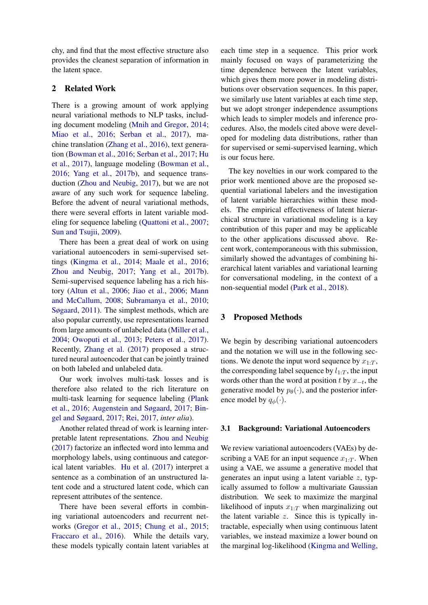chy, and find that the most effective structure also provides the cleanest separation of information in the latent space.

## 2 Related Work

There is a growing amount of work applying neural variational methods to NLP tasks, including document modeling [\(Mnih and Gregor,](#page-9-1) [2014;](#page-9-1) [Miao et al.,](#page-9-2) [2016;](#page-9-2) [Serban et al.,](#page-10-1) [2017\)](#page-10-1), machine translation [\(Zhang et al.,](#page-11-1) [2016\)](#page-11-1), text generation [\(Bowman et al.,](#page-8-0) [2016;](#page-8-0) [Serban et al.,](#page-10-1) [2017;](#page-10-1) [Hu](#page-9-3) [et al.,](#page-9-3) [2017\)](#page-9-3), language modeling [\(Bowman et al.,](#page-8-0) [2016;](#page-8-0) [Yang et al.,](#page-10-2) [2017b\)](#page-10-2), and sequence transduction [\(Zhou and Neubig,](#page-11-0) [2017\)](#page-11-0), but we are not aware of any such work for sequence labeling. Before the advent of neural variational methods, there were several efforts in latent variable modeling for sequence labeling [\(Quattoni et al.,](#page-10-3) [2007;](#page-10-3) [Sun and Tsujii,](#page-10-4) [2009\)](#page-10-4).

There has been a great deal of work on using variational autoencoders in semi-supervised settings [\(Kingma et al.,](#page-9-4) [2014;](#page-9-4) [Maale et al.,](#page-9-5) [2016;](#page-9-5) [Zhou and Neubig,](#page-11-0) [2017;](#page-11-0) [Yang et al.,](#page-10-2) [2017b\)](#page-10-2). Semi-supervised sequence labeling has a rich history [\(Altun et al.,](#page-8-1) [2006;](#page-8-1) [Jiao et al.,](#page-9-6) [2006;](#page-9-6) [Mann](#page-9-7) [and McCallum,](#page-9-7) [2008;](#page-9-7) [Subramanya et al.,](#page-10-5) [2010;](#page-10-5) [Søgaard,](#page-10-6) [2011\)](#page-10-6). The simplest methods, which are also popular currently, use representations learned from large amounts of unlabeled data [\(Miller et al.,](#page-9-8) [2004;](#page-9-8) [Owoputi et al.,](#page-10-7) [2013;](#page-10-7) [Peters et al.,](#page-10-8) [2017\)](#page-10-8). Recently, [Zhang et al.](#page-11-2) [\(2017\)](#page-11-2) proposed a structured neural autoencoder that can be jointly trained on both labeled and unlabeled data.

Our work involves multi-task losses and is therefore also related to the rich literature on multi-task learning for sequence labeling [\(Plank](#page-10-9) [et al.,](#page-10-9) [2016;](#page-10-9) [Augenstein and Søgaard,](#page-8-2) [2017;](#page-8-2) [Bin](#page-8-3)[gel and Søgaard,](#page-8-3) [2017;](#page-8-3) [Rei,](#page-10-10) [2017,](#page-10-10) *inter alia*).

Another related thread of work is learning interpretable latent representations. [Zhou and Neubig](#page-11-0) [\(2017\)](#page-11-0) factorize an inflected word into lemma and morphology labels, using continuous and categorical latent variables. [Hu et al.](#page-9-3) [\(2017\)](#page-9-3) interpret a sentence as a combination of an unstructured latent code and a structured latent code, which can represent attributes of the sentence.

There have been several efforts in combining variational autoencoders and recurrent networks [\(Gregor et al.,](#page-9-9) [2015;](#page-9-9) [Chung et al.,](#page-9-10) [2015;](#page-9-10) [Fraccaro et al.,](#page-9-11) [2016\)](#page-9-11). While the details vary, these models typically contain latent variables at each time step in a sequence. This prior work mainly focused on ways of parameterizing the time dependence between the latent variables, which gives them more power in modeling distributions over observation sequences. In this paper, we similarly use latent variables at each time step, but we adopt stronger independence assumptions which leads to simpler models and inference procedures. Also, the models cited above were developed for modeling data distributions, rather than for supervised or semi-supervised learning, which is our focus here.

The key novelties in our work compared to the prior work mentioned above are the proposed sequential variational labelers and the investigation of latent variable hierarchies within these models. The empirical effectiveness of latent hierarchical structure in variational modeling is a key contribution of this paper and may be applicable to the other applications discussed above. Recent work, contemporaneous with this submission, similarly showed the advantages of combining hierarchical latent variables and variational learning for conversational modeling, in the context of a non-sequential model [\(Park et al.,](#page-10-11) [2018\)](#page-10-11).

#### 3 Proposed Methods

We begin by describing variational autoencoders and the notation we will use in the following sections. We denote the input word sequence by  $x_{1:T}$ , the corresponding label sequence by  $l_{1:T}$ , the input words other than the word at position t by  $x_{-t}$ , the generative model by  $p_{\theta}(\cdot)$ , and the posterior inference model by  $q_{\phi}(\cdot)$ .

#### 3.1 Background: Variational Autoencoders

We review variational autoencoders (VAEs) by describing a VAE for an input sequence  $x_{1:T}$ . When using a VAE, we assume a generative model that generates an input using a latent variable  $z$ , typically assumed to follow a multivariate Gaussian distribution. We seek to maximize the marginal likelihood of inputs  $x_{1:T}$  when marginalizing out the latent variable  $z$ . Since this is typically intractable, especially when using continuous latent variables, we instead maximize a lower bound on the marginal log-likelihood [\(Kingma and Welling,](#page-9-0)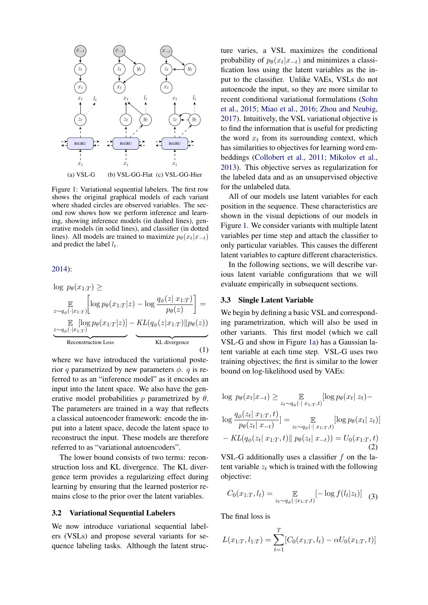<span id="page-2-0"></span>

Figure 1: Variational sequential labelers. The first row shows the original graphical models of each variant where shaded circles are observed variables. The second row shows how we perform inference and learning, showing inference models (in dashed lines), generative models (in solid lines), and classifier (in dotted lines). All models are trained to maximize  $p_{\theta}(x_t|x_{-t})$ and predict the label  $l_t$ .

#### [2014\)](#page-9-0):

$$
\log p_{\theta}(x_{1:T}) \ge
$$
\n
$$
\mathbb{E} \left[ \log p_{\theta}(x_{1:T}|z) - \log \frac{q_{\phi}(z | x_{1:T})}{p_{\theta}(z)} \right] =
$$
\n
$$
\mathbb{E} \left[ \log p_{\theta}(x_{1:T}|z) \right] - KL(q_{\phi}(z | x_{1:T}) || p_{\theta}(z))
$$
\n
$$
\xrightarrow{\text{Reconstruction Loss}} KL divergence
$$
\n(1)

where we have introduced the variational posterior q parametrized by new parameters  $\phi$ . q is referred to as an "inference model" as it encodes an input into the latent space. We also have the generative model probabilities p parametrized by  $\theta$ . The parameters are trained in a way that reflects a classical autoencoder framework: encode the input into a latent space, decode the latent space to reconstruct the input. These models are therefore referred to as "variational autoencoders".

The lower bound consists of two terms: reconstruction loss and KL divergence. The KL divergence term provides a regularizing effect during learning by ensuring that the learned posterior remains close to the prior over the latent variables.

#### 3.2 Variational Sequential Labelers

We now introduce variational sequential labelers (VSLs) and propose several variants for sequence labeling tasks. Although the latent structure varies, a VSL maximizes the conditional probability of  $p_{\theta}(x_t | x_{-t})$  and minimizes a classification loss using the latent variables as the input to the classifier. Unlike VAEs, VSLs do not autoencode the input, so they are more similar to recent conditional variational formulations [\(Sohn](#page-10-12) [et al.,](#page-10-12) [2015;](#page-10-12) [Miao et al.,](#page-9-2) [2016;](#page-9-2) [Zhou and Neubig,](#page-11-0) [2017\)](#page-11-0). Intuitively, the VSL variational objective is to find the information that is useful for predicting the word  $x_t$  from its surrounding context, which has similarities to objectives for learning word embeddings [\(Collobert et al.,](#page-9-12) [2011;](#page-9-12) [Mikolov et al.,](#page-9-13) [2013\)](#page-9-13). This objective serves as regularization for the labeled data and as an unsupervised objective for the unlabeled data.

All of our models use latent variables for each position in the sequence. These characteristics are shown in the visual depictions of our models in Figure [1.](#page-2-0) We consider variants with multiple latent variables per time step and attach the classifier to only particular variables. This causes the different latent variables to capture different characteristics.

In the following sections, we will describe various latent variable configurations that we will evaluate empirically in subsequent sections.

#### 3.3 Single Latent Variable

We begin by defining a basic VSL and corresponding parametrization, which will also be used in other variants. This first model (which we call VSL-G and show in Figure [1a\)](#page-2-0) has a Gaussian latent variable at each time step. VSL-G uses two training objectives; the first is similar to the lower bound on log-likelihood used by VAEs:

$$
\log p_{\theta}(x_t|x_{-t}) \ge \mathbb{E}_{z_t \sim q_{\phi}(\cdot | x_{1:T}, t)}[\log p_{\theta}(x_t | z_t) - \log \frac{q_{\phi}(z_t | x_{1:T}, t)}{p_{\theta}(z_t | x_{-t})}] = \mathbb{E}_{z_t \sim q_{\phi}(\cdot | x_{1:T}, t)}[\log p_{\theta}(x_t | z_t)] - KL(q_{\phi}(z_t | x_{1:T}, t) || p_{\theta}(z_t | x_{-t})) = U_0(x_{1:T}, t)
$$
\n(2)

VSL-G additionally uses a classifier  $f$  on the latent variable  $z_t$  which is trained with the following objective:

<span id="page-2-1"></span>
$$
C_0(x_{1:T}, l_t) = \mathop{\mathbb{E}}_{z_t \sim q_\phi(\cdot | x_{1:T}, t)} [-\log f(l_t | z_t)] \quad (3)
$$

The final loss is

$$
L(x_{1:T}, l_{1:T}) = \sum_{t=1}^{T} [C_0(x_{1:T}, l_t) - \alpha U_0(x_{1:T}, t)]
$$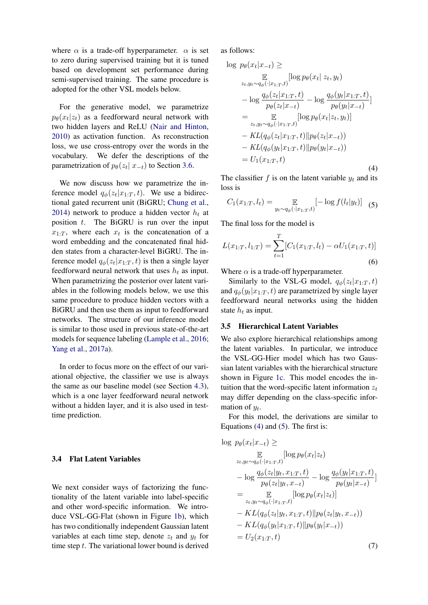where  $\alpha$  is a trade-off hyperparameter.  $\alpha$  is set to zero during supervised training but it is tuned based on development set performance during semi-supervised training. The same procedure is adopted for the other VSL models below.

For the generative model, we parametrize  $p_{\theta}(x_t|z_t)$  as a feedforward neural network with two hidden layers and ReLU [\(Nair and Hinton,](#page-9-14) [2010\)](#page-9-14) as activation function. As reconstruction loss, we use cross-entropy over the words in the vocabulary. We defer the descriptions of the parametrization of  $p_{\theta}(z_t | x_{-t})$  to Section [3.6.](#page-4-0)

We now discuss how we parametrize the inference model  $q_{\phi}(z_t|x_{1:T}, t)$ . We use a bidirectional gated recurrent unit (BiGRU; [Chung et al.,](#page-8-4) [2014\)](#page-8-4) network to produce a hidden vector  $h_t$  at position  $t$ . The BiGRU is run over the input  $x_{1:T}$ , where each  $x_t$  is the concatenation of a word embedding and the concatenated final hidden states from a character-level BiGRU. The inference model  $q_{\phi}(z_t | x_{1:T}, t)$  is then a single layer feedforward neural network that uses  $h_t$  as input. When parametrizing the posterior over latent variables in the following models below, we use this same procedure to produce hidden vectors with a BiGRU and then use them as input to feedforward networks. The structure of our inference model is similar to those used in previous state-of-the-art models for sequence labeling [\(Lample et al.,](#page-9-15) [2016;](#page-9-15) [Yang et al.,](#page-10-13) [2017a\)](#page-10-13).

In order to focus more on the effect of our variational objective, the classifier we use is always the same as our baseline model (see Section [4.3\)](#page-5-0), which is a one layer feedforward neural network without a hidden layer, and it is also used in testtime prediction.

## 3.4 Flat Latent Variables

We next consider ways of factorizing the functionality of the latent variable into label-specific and other word-specific information. We introduce VSL-GG-Flat (shown in Figure [1b\)](#page-2-0), which has two conditionally independent Gaussian latent variables at each time step, denote  $z_t$  and  $y_t$  for time step  $t$ . The variational lower bound is derived as follows:

$$
\log p_{\theta}(x_t|x_{-t}) \geq \frac{\mathbb{E}}{2t, y_t \sim q_{\phi}(\cdot|x_{1:T}, t)} [\log p_{\theta}(x_t | z_t, y_t)]
$$
\n
$$
- \log \frac{q_{\phi}(z_t | x_{1:T}, t)}{p_{\theta}(z_t | x_{-t})} - \log \frac{q_{\phi}(y_t | x_{1:T}, t)}{p_{\theta}(y_t | x_{-t})}]
$$
\n
$$
= \mathbb{E} \mathbb{E} \left[ \log p_{\theta}(x_t | z_t, y_t) \right]
$$
\n
$$
- KL(q_{\phi}(z_t | x_{1:T}, t) || p_{\theta}(z_t | x_{-t}))
$$
\n
$$
- KL(q_{\phi}(y_t | x_{1:T}, t) || p_{\theta}(y_t | x_{-t}))
$$
\n
$$
= U_1(x_{1:T}, t) \tag{4}
$$

<span id="page-3-0"></span>The classifier  $f$  is on the latent variable  $y_t$  and its loss is

$$
C_1(x_{1:T}, l_t) = \mathop{\mathbb{E}}_{y_t \sim q_\phi(\cdot | x_{1:T}, t)} [-\log f(l_t | y_t)] \quad (5)
$$

The final loss for the model is

$$
L(x_{1:T}, l_{1:T}) = \sum_{t=1}^{T} [C_1(x_{1:T}, l_t) - \alpha U_1(x_{1:T}, t)]
$$
\n(6)

Where  $\alpha$  is a trade-off hyperparameter.

Similarly to the VSL-G model,  $q_{\phi}(z_t|x_{1:T}, t)$ and  $q_{\phi}(y_t|x_{1:T}, t)$  are parametrized by single layer feedforward neural networks using the hidden state  $h_t$  as input.

#### 3.5 Hierarchical Latent Variables

We also explore hierarchical relationships among the latent variables. In particular, we introduce the VSL-GG-Hier model which has two Gaussian latent variables with the hierarchical structure shown in Figure [1c.](#page-2-0) This model encodes the intuition that the word-specific latent information  $z_t$ may differ depending on the class-specific information of  $y_t$ .

For this model, the derivations are similar to Equations  $(4)$  and  $(5)$ . The first is:

$$
\log p_{\theta}(x_t|x_{-t}) \ge \mathbb{E} [\log p_{\theta}(x_t|z_t) \n z_{t, y_t \sim q_{\phi}(\cdot|x_{1:T}, t)} [\log p_{\theta}(x_t|z_t) \n - \log \frac{q_{\phi}(z_t|y_t, x_{1:T}, t)}{p_{\theta}(z_t|y_t, x_{-t})} - \log \frac{q_{\phi}(y_t|x_{1:T}, t)}{p_{\theta}(y_t|x_{-t})}] \n = \mathbb{E} [\log p_{\theta}(x_t|z_t)] \n - KL(q_{\phi}(z_t|y_t, x_{1:T}, t)||p_{\theta}(z_t|y_t, x_{-t})) \n - KL(q_{\phi}(y_t|x_{1:T}, t)||p_{\theta}(y_t|x_{-t})) \n = U_2(x_{1:T}, t)
$$
\n(7)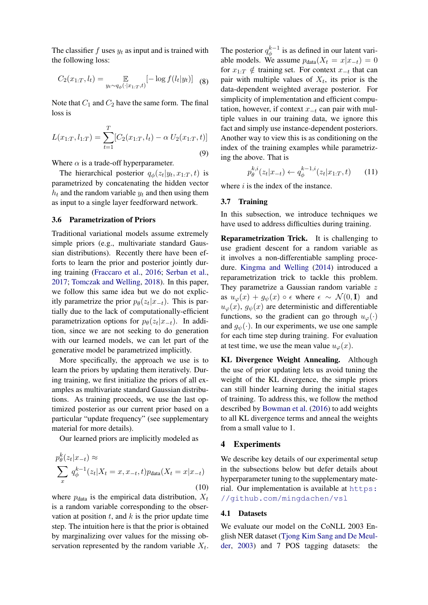The classifier  $f$  uses  $y_t$  as input and is trained with the following loss:

$$
C_2(x_{1:T}, l_t) = \mathop{\mathbb{E}}_{y_t \sim q_\phi(\cdot | x_{1:T}, t)} [-\log f(l_t | y_t)] \quad (8)
$$

Note that  $C_1$  and  $C_2$  have the same form. The final loss is

$$
L(x_{1:T}, l_{1:T}) = \sum_{t=1}^{T} [C_2(x_{1:T}, l_t) - \alpha U_2(x_{1:T}, t)]
$$
\n(9)

Where  $\alpha$  is a trade-off hyperparameter.

The hierarchical posterior  $q_{\phi}(z_t|y_t, x_{1:T}, t)$  is parametrized by concatenating the hidden vector  $h_t$  and the random variable  $y_t$  and then using them as input to a single layer feedforward network.

## <span id="page-4-0"></span>3.6 Parametrization of Priors

Traditional variational models assume extremely simple priors (e.g., multivariate standard Gaussian distributions). Recently there have been efforts to learn the prior and posterior jointly during training [\(Fraccaro et al.,](#page-9-11) [2016;](#page-9-11) [Serban et al.,](#page-10-1) [2017;](#page-10-1) [Tomczak and Welling,](#page-10-14) [2018\)](#page-10-14). In this paper, we follow this same idea but we do not explicitly parametrize the prior  $p_{\theta}(z_t|x_{-t})$ . This is partially due to the lack of computationally-efficient parametrization options for  $p_{\theta}(z_t|x_{-t})$ . In addition, since we are not seeking to do generation with our learned models, we can let part of the generative model be parametrized implicitly.

More specifically, the approach we use is to learn the priors by updating them iteratively. During training, we first initialize the priors of all examples as multivariate standard Gaussian distributions. As training proceeds, we use the last optimized posterior as our current prior based on a particular "update frequency" (see supplementary material for more details).

Our learned priors are implicitly modeled as

$$
p_{\theta}^{k}(z_t|x_{-t}) \approx \sum_{x} q_{\phi}^{k-1}(z_t|X_t=x,x_{-t},t) p_{\text{data}}(X_t=x|x_{-t})
$$
\n(10)

where  $p_{data}$  is the empirical data distribution,  $X_t$ is a random variable corresponding to the observation at position  $t$ , and  $k$  is the prior update time step. The intuition here is that the prior is obtained by marginalizing over values for the missing observation represented by the random variable  $X_t$ .

The posterior  $q_{\phi}^{k-1}$  $\phi_{\phi}^{k-1}$  is as defined in our latent variable models. We assume  $p_{data}(X_t = x | x_{-t}) = 0$ for  $x_{1:T} \notin$  training set. For context  $x_{-t}$  that can pair with multiple values of  $X_t$ , its prior is the data-dependent weighted average posterior. For simplicity of implementation and efficient computation, however, if context  $x_{-t}$  can pair with multiple values in our training data, we ignore this fact and simply use instance-dependent posteriors. Another way to view this is as conditioning on the index of the training examples while parametrizing the above. That is

$$
p_{\theta}^{k,i}(z_t|x_{-t}) \leftarrow q_{\phi}^{k-1,i}(z_t|x_{1:T},t) \qquad (11)
$$

where  $i$  is the index of the instance.

#### 3.7 Training

In this subsection, we introduce techniques we have used to address difficulties during training.

Reparametrization Trick. It is challenging to use gradient descent for a random variable as it involves a non-differentiable sampling procedure. [Kingma and Welling](#page-9-0) [\(2014\)](#page-9-0) introduced a reparametrization trick to tackle this problem. They parametrize a Gaussian random variable z as  $u_{\varphi}(x) + g_{\psi}(x) \circ \epsilon$  where  $\epsilon \sim \mathcal{N}(0, I)$  and  $u_{\varphi}(x)$ ,  $g_{\psi}(x)$  are deterministic and differentiable functions, so the gradient can go through  $u_{\varphi}(\cdot)$ and  $g_{\psi}(\cdot)$ . In our experiments, we use one sample for each time step during training. For evaluation at test time, we use the mean value  $u_{\varphi}(x)$ .

KL Divergence Weight Annealing. Although the use of prior updating lets us avoid tuning the weight of the KL divergence, the simple priors can still hinder learning during the initial stages of training. To address this, we follow the method described by [Bowman et al.](#page-8-0) [\(2016\)](#page-8-0) to add weights to all KL divergence terms and anneal the weights from a small value to 1.

## 4 Experiments

We describe key details of our experimental setup in the subsections below but defer details about hyperparameter tuning to the supplementary material. Our implementation is available at [https:](https://github.com/mingdachen/vsl) [//github.com/mingdachen/vsl](https://github.com/mingdachen/vsl)

#### 4.1 Datasets

We evaluate our model on the CoNLL 2003 English NER dataset [\(Tjong Kim Sang and De Meul](#page-10-15)[der,](#page-10-15) [2003\)](#page-10-15) and 7 POS tagging datasets: the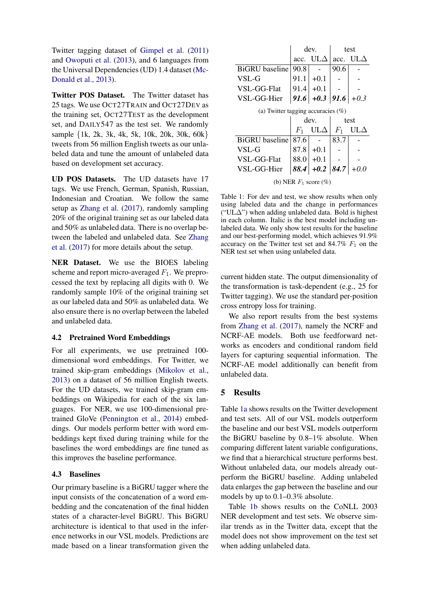Twitter tagging dataset of [Gimpel et al.](#page-9-16) [\(2011\)](#page-9-16) and [Owoputi et al.](#page-10-7) [\(2013\)](#page-10-7), and 6 languages from the Universal Dependencies (UD) 1.4 dataset [\(Mc-](#page-9-17)[Donald et al.,](#page-9-17) [2013\)](#page-9-17).

Twitter POS Dataset. The Twitter dataset has 25 tags. We use OCT27TRAIN and OCT27DEV as the training set, OCT27TEST as the development set, and DAILY547 as the test set. We randomly sample {1k, 2k, 3k, 4k, 5k, 10k, 20k, 30k, 60k} tweets from 56 million English tweets as our unlabeled data and tune the amount of unlabeled data based on development set accuracy.

UD POS Datasets. The UD datasets have 17 tags. We use French, German, Spanish, Russian, Indonesian and Croatian. We follow the same setup as [Zhang et al.](#page-11-2) [\(2017\)](#page-11-2), randomly sampling 20% of the original training set as our labeled data and 50% as unlabeled data. There is no overlap between the labeled and unlabeled data. See [Zhang](#page-11-2) [et al.](#page-11-2) [\(2017\)](#page-11-2) for more details about the setup.

NER Dataset. We use the BIOES labeling scheme and report micro-averaged  $F_1$ . We preprocessed the text by replacing all digits with 0. We randomly sample 10% of the original training set as our labeled data and 50% as unlabeled data. We also ensure there is no overlap between the labeled and unlabeled data.

## 4.2 Pretrained Word Embeddings

For all experiments, we use pretrained 100 dimensional word embeddings. For Twitter, we trained skip-gram embeddings [\(Mikolov et al.,](#page-9-13) [2013\)](#page-9-13) on a dataset of 56 million English tweets. For the UD datasets, we trained skip-gram embeddings on Wikipedia for each of the six languages. For NER, we use 100-dimensional pretrained GloVe [\(Pennington et al.,](#page-10-16) [2014\)](#page-10-16) embeddings. Our models perform better with word embeddings kept fixed during training while for the baselines the word embeddings are fine tuned as this improves the baseline performance.

## <span id="page-5-0"></span>4.3 Baselines

Our primary baseline is a BiGRU tagger where the input consists of the concatenation of a word embedding and the concatenation of the final hidden states of a character-level BiGRU. This BiGRU architecture is identical to that used in the inference networks in our VSL models. Predictions are made based on a linear transformation given the

<span id="page-5-1"></span>

|                                       |       | dev.                    | test  |                 |  |  |  |
|---------------------------------------|-------|-------------------------|-------|-----------------|--|--|--|
|                                       | acc.  | $_{\rm ULA}$            |       | acc. $UL\Delta$ |  |  |  |
| BiGRU baseline                        | 90.8  |                         | 90.6  |                 |  |  |  |
| VSL-G                                 | 91.1  | $+0.1$                  |       |                 |  |  |  |
| VSL-GG-Flat                           |       | $91.4$ + 0.1            |       |                 |  |  |  |
| VSL-GG-Hier                           |       | 91.6 + 0.3   91.6 + 0.3 |       |                 |  |  |  |
| (a) Twitter tagging accuracies $(\%)$ |       |                         |       |                 |  |  |  |
|                                       |       |                         |       |                 |  |  |  |
|                                       |       | dev.                    |       | test            |  |  |  |
|                                       | $F_1$ | $UL\Delta$              | $F_1$ | $UL\Delta$      |  |  |  |
| BiGRU baseline                        | 87.6  |                         | 83.7  |                 |  |  |  |
| VSL-G                                 | 87.8  | $+0.1$                  |       |                 |  |  |  |
| VSL-GG-Flat                           | 88.01 | $+0.1$                  |       |                 |  |  |  |
| VSL-GG-Hier                           | 88.4  | $+0.2$   84.7           |       |                 |  |  |  |

(b) NER  $F_1$  score  $(\%)$ 

Table 1: For dev and test, we show results when only using labeled data and the change in performances ("UL∆") when adding unlabeled data. Bold is highest in each column. Italic is the best model including unlabeled data. We only show test results for the baseline and our best-performing model, which achieves 91.9% accuracy on the Twitter test set and  $84.7\%$   $F_1$  on the NER test set when using unlabeled data.

current hidden state. The output dimensionality of the transformation is task-dependent (e.g., 25 for Twitter tagging). We use the standard per-position cross entropy loss for training.

We also report results from the best systems from [Zhang et al.](#page-11-2) [\(2017\)](#page-11-2), namely the NCRF and NCRF-AE models. Both use feedforward networks as encoders and conditional random field layers for capturing sequential information. The NCRF-AE model additionally can benefit from unlabeled data.

## 5 Results

Table [1a](#page-5-1) shows results on the Twitter development and test sets. All of our VSL models outperform the baseline and our best VSL models outperform the BiGRU baseline by 0.8–1% absolute. When comparing different latent variable configurations, we find that a hierarchical structure performs best. Without unlabeled data, our models already outperform the BiGRU baseline. Adding unlabeled data enlarges the gap between the baseline and our models by up to 0.1–0.3% absolute.

Table [1b](#page-5-1) shows results on the CoNLL 2003 NER development and test sets. We observe similar trends as in the Twitter data, except that the model does not show improvement on the test set when adding unlabeled data.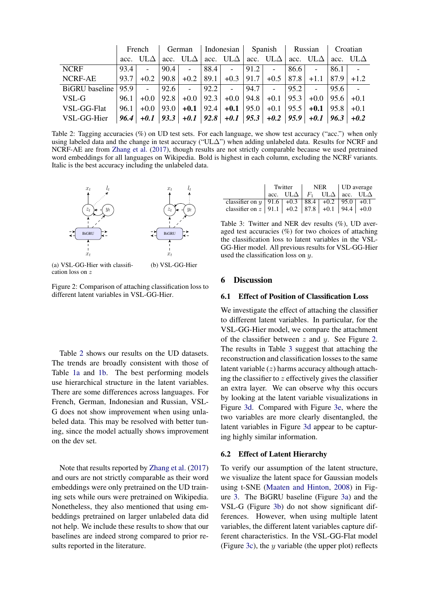<span id="page-6-0"></span>

|                | French |                 |      |                                                                                                       |      |                     | German   Indonesian   Spanish   Russian |                         |      |                        | Croatian     |  |
|----------------|--------|-----------------|------|-------------------------------------------------------------------------------------------------------|------|---------------------|-----------------------------------------|-------------------------|------|------------------------|--------------|--|
|                |        | acc. $UL\Delta$ |      | acc. UL $\Delta$ acc. UL $\Delta$ acc. UL $\Delta$ acc. UL $\Delta$ acc. UL $\Delta$ acc. UL $\Delta$ |      |                     |                                         |                         |      |                        |              |  |
| <b>NCRF</b>    | 93.4   | $\sim$          | 90.4 | $\mathcal{L}$                                                                                         | 88.4 | $\sim$ $-$          | 91.2                                    | $\sim 100$ km s $^{-1}$ | 86.6 |                        | 86.1         |  |
| NCRF-AE        | 93.7   | $+0.2$          |      | $90.8$ +0.2                                                                                           |      | $89.1$ + 0.3   91.7 |                                         | $+0.5$   87.8           |      | $+1.1$                 | $ 87.9 +1.2$ |  |
| BiGRU baseline | 95.9   | $\sim$          | 92.6 | $\mathcal{L}$                                                                                         | 92.2 | $\mathbb{Z}^2$      | 94.7                                    | <b>College</b>          | 95.2 |                        | 95.6         |  |
| VSL-G          | 96.1   | $+0.0$          |      | $92.8$ +0.0   92.3   +0.0   94.8   +0.1   95.3                                                        |      |                     |                                         |                         |      | $+0.0$   95.6   $+0.1$ |              |  |
| VSL-GG-Flat    | 96.1   |                 |      | $+0.0$   93.0   $+0.1$   92.4   $+0.1$   95.0   $+0.1$   95.5   $+0.1$   95.8   $+0.1$                |      |                     |                                         |                         |      |                        |              |  |
| VSL-GG-Hier    |        |                 |      | $96.4$ +0.1   $93.3$   +0.1   $92.8$   +0.1   $95.3$   +0.2   $95.9$   +0.1   $96.3$   +0.2           |      |                     |                                         |                         |      |                        |              |  |

Table 2: Tagging accuracies (%) on UD test sets. For each language, we show test accuracy ("acc.") when only using labeled data and the change in test accuracy ("UL∆") when adding unlabeled data. Results for NCRF and NCRF-AE are from [Zhang et al.](#page-11-2) [\(2017\)](#page-11-2), though results are not strictly comparable because we used pretrained word embeddings for all languages on Wikipedia. Bold is highest in each column, excluding the NCRF variants. Italic is the best accuracy including the unlabeled data.

<span id="page-6-1"></span>

(a) VSL-GG-Hier with classification loss on z (b) VSL-GG-Hier

Figure 2: Comparison of attaching classification loss to different latent variables in VSL-GG-Hier.

Table [2](#page-6-0) shows our results on the UD datasets. The trends are broadly consistent with those of Table [1a](#page-5-1) and [1b.](#page-5-1) The best performing models use hierarchical structure in the latent variables. There are some differences across languages. For French, German, Indonesian and Russian, VSL-G does not show improvement when using unlabeled data. This may be resolved with better tuning, since the model actually shows improvement on the dev set.

Note that results reported by [Zhang et al.](#page-11-2) [\(2017\)](#page-11-2) and ours are not strictly comparable as their word embeddings were only pretrained on the UD training sets while ours were pretrained on Wikipedia. Nonetheless, they also mentioned that using embeddings pretrained on larger unlabeled data did not help. We include these results to show that our baselines are indeed strong compared to prior results reported in the literature.

<span id="page-6-2"></span>

|                                                           | Twitter |                                                         | NER | UD average |  |  |
|-----------------------------------------------------------|---------|---------------------------------------------------------|-----|------------|--|--|
|                                                           |         | acc. UL $\Delta$   $F_1$ UL $\Delta$   acc. UL $\Delta$ |     |            |  |  |
| classifier on y   91.6   +0.3   88.4   +0.2   95.0   +0.1 |         |                                                         |     |            |  |  |
| classifier on z   91.1   +0.2   87.8   +0.1   94.4   +0.0 |         |                                                         |     |            |  |  |

Table 3: Twitter and NER dev results (%), UD averaged test accuracies (%) for two choices of attaching the classification loss to latent variables in the VSL-GG-Hier model. All previous results for VSL-GG-Hier used the classification loss on y.

#### 6 Discussion

### 6.1 Effect of Position of Classification Loss

We investigate the effect of attaching the classifier to different latent variables. In particular, for the VSL-GG-Hier model, we compare the attachment of the classifier between  $z$  and  $y$ . See Figure [2.](#page-6-1) The results in Table [3](#page-6-2) suggest that attaching the reconstruction and classification losses to the same latent variable  $(z)$  harms accuracy although attaching the classifier to  $z$  effectively gives the classifier an extra layer. We can observe why this occurs by looking at the latent variable visualizations in Figure [3d.](#page-7-0) Compared with Figure [3e,](#page-7-0) where the two variables are more clearly disentangled, the latent variables in Figure [3d](#page-7-0) appear to be capturing highly similar information.

#### 6.2 Effect of Latent Hierarchy

To verify our assumption of the latent structure, we visualize the latent space for Gaussian models using t-SNE [\(Maaten and Hinton,](#page-9-18) [2008\)](#page-9-18) in Figure [3.](#page-7-0) The BiGRU baseline (Figure [3a\)](#page-7-0) and the VSL-G (Figure [3b\)](#page-7-0) do not show significant differences. However, when using multiple latent variables, the different latent variables capture different characteristics. In the VSL-GG-Flat model (Figure [3c\)](#page-7-0), the  $y$  variable (the upper plot) reflects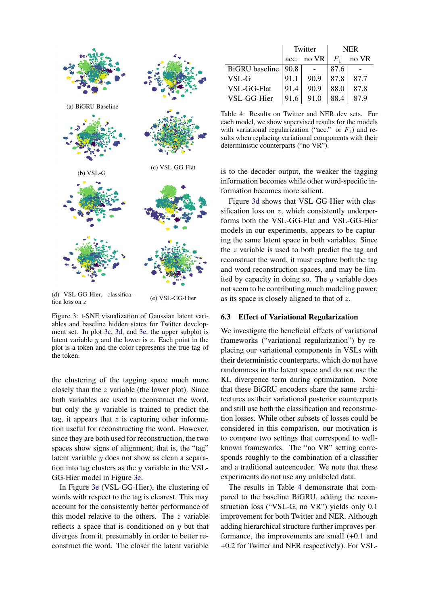<span id="page-7-0"></span>

Figure 3: t-SNE visualization of Gaussian latent variables and baseline hidden states for Twitter development set. In plot [3c,](#page-7-0) [3d,](#page-7-0) and [3e,](#page-7-0) the upper subplot is latent variable  $y$  and the lower is  $z$ . Each point in the plot is a token and the color represents the true tag of the token.

the clustering of the tagging space much more closely than the z variable (the lower plot). Since both variables are used to reconstruct the word, but only the  $y$  variable is trained to predict the tag, it appears that  $z$  is capturing other information useful for reconstructing the word. However, since they are both used for reconstruction, the two spaces show signs of alignment; that is, the "tag" latent variable y does not show as clean a separation into tag clusters as the  $y$  variable in the VSL-GG-Hier model in Figure [3e.](#page-7-0)

In Figure [3e](#page-7-0) (VSL-GG-Hier), the clustering of words with respect to the tag is clearest. This may account for the consistently better performance of this model relative to the others. The  $z$  variable reflects a space that is conditioned on  $y$  but that diverges from it, presumably in order to better reconstruct the word. The closer the latent variable

<span id="page-7-1"></span>

|                       |      | Twitter    | NER   |       |  |
|-----------------------|------|------------|-------|-------|--|
|                       |      | acc. no VR | $F_1$ | no VR |  |
| BiGRU baseline   90.8 |      |            | 87.6  |       |  |
| VSL-G                 | 91.1 | 90.9       | 87.8  | 87.7  |  |
| VSL-GG-Flat           | 91.4 | 90.9       | 88.0  | 87.8  |  |
| VSL-GG-Hier           | 91.6 | 91.0       | 88.4  | 87 Q  |  |

Table 4: Results on Twitter and NER dev sets. For each model, we show supervised results for the models with variational regularization ("acc." or  $F_1$ ) and results when replacing variational components with their deterministic counterparts ("no VR").

is to the decoder output, the weaker the tagging information becomes while other word-specific information becomes more salient.

Figure [3d](#page-7-0) shows that VSL-GG-Hier with classification loss on z, which consistently underperforms both the VSL-GG-Flat and VSL-GG-Hier models in our experiments, appears to be capturing the same latent space in both variables. Since the z variable is used to both predict the tag and reconstruct the word, it must capture both the tag and word reconstruction spaces, and may be limited by capacity in doing so. The  $y$  variable does not seem to be contributing much modeling power, as its space is closely aligned to that of z.

#### 6.3 Effect of Variational Regularization

We investigate the beneficial effects of variational frameworks ("variational regularization") by replacing our variational components in VSLs with their deterministic counterparts, which do not have randomness in the latent space and do not use the KL divergence term during optimization. Note that these BiGRU encoders share the same architectures as their variational posterior counterparts and still use both the classification and reconstruction losses. While other subsets of losses could be considered in this comparison, our motivation is to compare two settings that correspond to wellknown frameworks. The "no VR" setting corresponds roughly to the combination of a classifier and a traditional autoencoder. We note that these experiments do not use any unlabeled data.

The results in Table [4](#page-7-1) demonstrate that compared to the baseline BiGRU, adding the reconstruction loss ("VSL-G, no VR") yields only 0.1 improvement for both Twitter and NER. Although adding hierarchical structure further improves performance, the improvements are small (+0.1 and +0.2 for Twitter and NER respectively). For VSL-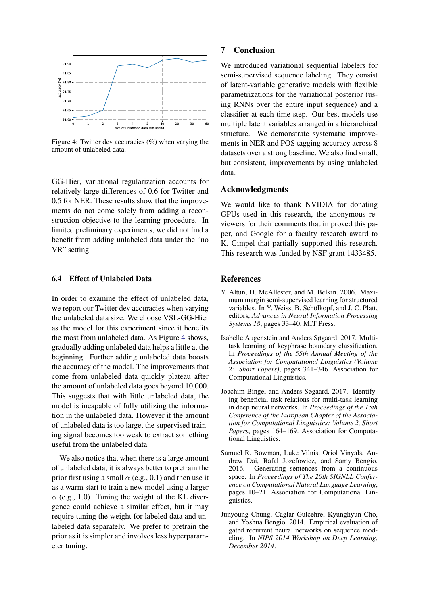<span id="page-8-5"></span>

Figure 4: Twitter dev accuracies (%) when varying the amount of unlabeled data.

GG-Hier, variational regularization accounts for relatively large differences of 0.6 for Twitter and 0.5 for NER. These results show that the improvements do not come solely from adding a reconstruction objective to the learning procedure. In limited preliminary experiments, we did not find a benefit from adding unlabeled data under the "no VR" setting.

## 6.4 Effect of Unlabeled Data

In order to examine the effect of unlabeled data, we report our Twitter dev accuracies when varying the unlabeled data size. We choose VSL-GG-Hier as the model for this experiment since it benefits the most from unlabeled data. As Figure [4](#page-8-5) shows, gradually adding unlabeled data helps a little at the beginning. Further adding unlabeled data boosts the accuracy of the model. The improvements that come from unlabeled data quickly plateau after the amount of unlabeled data goes beyond 10,000. This suggests that with little unlabeled data, the model is incapable of fully utilizing the information in the unlabeled data. However if the amount of unlabeled data is too large, the supervised training signal becomes too weak to extract something useful from the unlabeled data.

We also notice that when there is a large amount of unlabeled data, it is always better to pretrain the prior first using a small  $\alpha$  (e.g., 0.1) and then use it as a warm start to train a new model using a larger  $\alpha$  (e.g., 1.0). Tuning the weight of the KL divergence could achieve a similar effect, but it may require tuning the weight for labeled data and unlabeled data separately. We prefer to pretrain the prior as it is simpler and involves less hyperparameter tuning.

### 7 Conclusion

We introduced variational sequential labelers for semi-supervised sequence labeling. They consist of latent-variable generative models with flexible parametrizations for the variational posterior (using RNNs over the entire input sequence) and a classifier at each time step. Our best models use multiple latent variables arranged in a hierarchical structure. We demonstrate systematic improvements in NER and POS tagging accuracy across 8 datasets over a strong baseline. We also find small, but consistent, improvements by using unlabeled data.

#### Acknowledgments

We would like to thank NVIDIA for donating GPUs used in this research, the anonymous reviewers for their comments that improved this paper, and Google for a faculty research award to K. Gimpel that partially supported this research. This research was funded by NSF grant 1433485.

## References

- <span id="page-8-1"></span>Y. Altun, D. McAllester, and M. Belkin. 2006. Maximum margin semi-supervised learning for structured variables. In Y. Weiss, B. Schölkopf, and J. C. Platt, editors, *Advances in Neural Information Processing Systems 18*, pages 33–40. MIT Press.
- <span id="page-8-2"></span>Isabelle Augenstein and Anders Søgaard. 2017. Multitask learning of keyphrase boundary classification. In *Proceedings of the 55th Annual Meeting of the Association for Computational Linguistics (Volume 2: Short Papers)*, pages 341–346. Association for Computational Linguistics.
- <span id="page-8-3"></span>Joachim Bingel and Anders Søgaard. 2017. Identifying beneficial task relations for multi-task learning in deep neural networks. In *Proceedings of the 15th Conference of the European Chapter of the Association for Computational Linguistics: Volume 2, Short Papers*, pages 164–169. Association for Computational Linguistics.
- <span id="page-8-0"></span>Samuel R. Bowman, Luke Vilnis, Oriol Vinyals, Andrew Dai, Rafal Jozefowicz, and Samy Bengio. 2016. Generating sentences from a continuous space. In *Proceedings of The 20th SIGNLL Conference on Computational Natural Language Learning*, pages 10–21. Association for Computational Linguistics.
- <span id="page-8-4"></span>Junyoung Chung, Caglar Gulcehre, Kyunghyun Cho, and Yoshua Bengio. 2014. Empirical evaluation of gated recurrent neural networks on sequence modeling. In *NIPS 2014 Workshop on Deep Learning, December 2014*.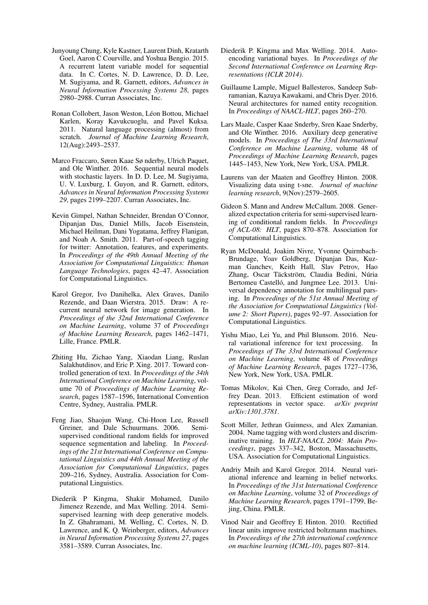- <span id="page-9-10"></span>Junyoung Chung, Kyle Kastner, Laurent Dinh, Kratarth Goel, Aaron C Courville, and Yoshua Bengio. 2015. A recurrent latent variable model for sequential data. In C. Cortes, N. D. Lawrence, D. D. Lee, M. Sugiyama, and R. Garnett, editors, *Advances in Neural Information Processing Systems 28*, pages 2980–2988. Curran Associates, Inc.
- <span id="page-9-12"></span>Ronan Collobert, Jason Weston, Léon Bottou, Michael Karlen, Koray Kavukcuoglu, and Pavel Kuksa. 2011. Natural language processing (almost) from scratch. *Journal of Machine Learning Research*, 12(Aug):2493–2537.
- <span id="page-9-11"></span>Marco Fraccaro, Søren Kaae Sø nderby, Ulrich Paquet, and Ole Winther. 2016. Sequential neural models with stochastic layers. In D. D. Lee, M. Sugiyama, U. V. Luxburg, I. Guyon, and R. Garnett, editors, *Advances in Neural Information Processing Systems 29*, pages 2199–2207. Curran Associates, Inc.
- <span id="page-9-16"></span>Kevin Gimpel, Nathan Schneider, Brendan O'Connor, Dipanjan Das, Daniel Mills, Jacob Eisenstein, Michael Heilman, Dani Yogatama, Jeffrey Flanigan, and Noah A. Smith. 2011. Part-of-speech tagging for twitter: Annotation, features, and experiments. In *Proceedings of the 49th Annual Meeting of the Association for Computational Linguistics: Human Language Technologies*, pages 42–47. Association for Computational Linguistics.
- <span id="page-9-9"></span>Karol Gregor, Ivo Danihelka, Alex Graves, Danilo Rezende, and Daan Wierstra. 2015. Draw: A recurrent neural network for image generation. In *Proceedings of the 32nd International Conference on Machine Learning*, volume 37 of *Proceedings of Machine Learning Research*, pages 1462–1471, Lille, France. PMLR.
- <span id="page-9-3"></span>Zhiting Hu, Zichao Yang, Xiaodan Liang, Ruslan Salakhutdinov, and Eric P. Xing. 2017. Toward controlled generation of text. In *Proceedings of the 34th International Conference on Machine Learning*, volume 70 of *Proceedings of Machine Learning Research*, pages 1587–1596, International Convention Centre, Sydney, Australia. PMLR.
- <span id="page-9-6"></span>Feng Jiao, Shaojun Wang, Chi-Hoon Lee, Russell Greiner, and Dale Schuurmans. 2006. Semisupervised conditional random fields for improved sequence segmentation and labeling. In *Proceedings of the 21st International Conference on Computational Linguistics and 44th Annual Meeting of the Association for Computational Linguistics*, pages 209–216, Sydney, Australia. Association for Computational Linguistics.
- <span id="page-9-4"></span>Diederik P Kingma, Shakir Mohamed, Danilo Jimenez Rezende, and Max Welling. 2014. Semisupervised learning with deep generative models. In Z. Ghahramani, M. Welling, C. Cortes, N. D. Lawrence, and K. Q. Weinberger, editors, *Advances in Neural Information Processing Systems 27*, pages 3581–3589. Curran Associates, Inc.
- <span id="page-9-0"></span>Diederik P. Kingma and Max Welling. 2014. Autoencoding variational bayes. In *Proceedings of the Second International Conference on Learning Representations (ICLR 2014)*.
- <span id="page-9-15"></span>Guillaume Lample, Miguel Ballesteros, Sandeep Subramanian, Kazuya Kawakami, and Chris Dyer. 2016. Neural architectures for named entity recognition. In *Proceedings of NAACL-HLT*, pages 260–270.
- <span id="page-9-5"></span>Lars Maale, Casper Kaae Snderby, Sren Kaae Snderby, and Ole Winther. 2016. Auxiliary deep generative models. In *Proceedings of The 33rd International Conference on Machine Learning*, volume 48 of *Proceedings of Machine Learning Research*, pages 1445–1453, New York, New York, USA. PMLR.
- <span id="page-9-18"></span>Laurens van der Maaten and Geoffrey Hinton. 2008. Visualizing data using t-sne. *Journal of machine learning research*, 9(Nov):2579–2605.
- <span id="page-9-7"></span>Gideon S. Mann and Andrew McCallum. 2008. Generalized expectation criteria for semi-supervised learning of conditional random fields. In *Proceedings of ACL-08: HLT*, pages 870–878. Association for Computational Linguistics.
- <span id="page-9-17"></span>Ryan McDonald, Joakim Nivre, Yvonne Quirmbach-Brundage, Yoav Goldberg, Dipanjan Das, Kuzman Ganchev, Keith Hall, Slav Petrov, Hao Zhang, Oscar Täckström, Claudia Bedini, Núria Bertomeu Castelló, and Jungmee Lee. 2013. Universal dependency annotation for multilingual parsing. In *Proceedings of the 51st Annual Meeting of the Association for Computational Linguistics (Volume 2: Short Papers)*, pages 92–97. Association for Computational Linguistics.
- <span id="page-9-2"></span>Yishu Miao, Lei Yu, and Phil Blunsom. 2016. Neural variational inference for text processing. In *Proceedings of The 33rd International Conference on Machine Learning*, volume 48 of *Proceedings of Machine Learning Research*, pages 1727–1736, New York, New York, USA. PMLR.
- <span id="page-9-13"></span>Tomas Mikolov, Kai Chen, Greg Corrado, and Jeffrey Dean. 2013. Efficient estimation of word representations in vector space. *arXiv preprint arXiv:1301.3781*.
- <span id="page-9-8"></span>Scott Miller, Jethran Guinness, and Alex Zamanian. 2004. Name tagging with word clusters and discriminative training. In *HLT-NAACL 2004: Main Proceedings*, pages 337–342, Boston, Massachusetts, USA. Association for Computational Linguistics.
- <span id="page-9-1"></span>Andriy Mnih and Karol Gregor. 2014. Neural variational inference and learning in belief networks. In *Proceedings of the 31st International Conference on Machine Learning*, volume 32 of *Proceedings of Machine Learning Research*, pages 1791–1799, Bejing, China. PMLR.
- <span id="page-9-14"></span>Vinod Nair and Geoffrey E Hinton. 2010. Rectified linear units improve restricted boltzmann machines. In *Proceedings of the 27th international conference on machine learning (ICML-10)*, pages 807–814.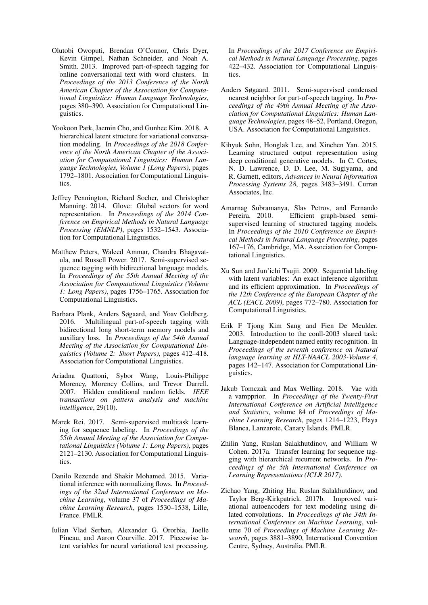- <span id="page-10-7"></span>Olutobi Owoputi, Brendan O'Connor, Chris Dyer, Kevin Gimpel, Nathan Schneider, and Noah A. Smith. 2013. Improved part-of-speech tagging for online conversational text with word clusters. In *Proceedings of the 2013 Conference of the North American Chapter of the Association for Computational Linguistics: Human Language Technologies*, pages 380–390. Association for Computational Linguistics.
- <span id="page-10-11"></span>Yookoon Park, Jaemin Cho, and Gunhee Kim. 2018. A hierarchical latent structure for variational conversation modeling. In *Proceedings of the 2018 Conference of the North American Chapter of the Association for Computational Linguistics: Human Language Technologies, Volume 1 (Long Papers)*, pages 1792–1801. Association for Computational Linguistics.
- <span id="page-10-16"></span>Jeffrey Pennington, Richard Socher, and Christopher Manning. 2014. Glove: Global vectors for word representation. In *Proceedings of the 2014 Conference on Empirical Methods in Natural Language Processing (EMNLP)*, pages 1532–1543. Association for Computational Linguistics.
- <span id="page-10-8"></span>Matthew Peters, Waleed Ammar, Chandra Bhagavatula, and Russell Power. 2017. Semi-supervised sequence tagging with bidirectional language models. In *Proceedings of the 55th Annual Meeting of the Association for Computational Linguistics (Volume 1: Long Papers)*, pages 1756–1765. Association for Computational Linguistics.
- <span id="page-10-9"></span>Barbara Plank, Anders Søgaard, and Yoav Goldberg. 2016. Multilingual part-of-speech tagging with bidirectional long short-term memory models and auxiliary loss. In *Proceedings of the 54th Annual Meeting of the Association for Computational Linguistics (Volume 2: Short Papers)*, pages 412–418. Association for Computational Linguistics.
- <span id="page-10-3"></span>Ariadna Quattoni, Sybor Wang, Louis-Philippe Morency, Morency Collins, and Trevor Darrell. 2007. Hidden conditional random fields. *IEEE transactions on pattern analysis and machine intelligence*, 29(10).
- <span id="page-10-10"></span>Marek Rei. 2017. Semi-supervised multitask learning for sequence labeling. In *Proceedings of the 55th Annual Meeting of the Association for Computational Linguistics (Volume 1: Long Papers)*, pages 2121–2130. Association for Computational Linguistics.
- <span id="page-10-0"></span>Danilo Rezende and Shakir Mohamed. 2015. Variational inference with normalizing flows. In *Proceedings of the 32nd International Conference on Machine Learning*, volume 37 of *Proceedings of Machine Learning Research*, pages 1530–1538, Lille, France. PMLR.
- <span id="page-10-1"></span>Iulian Vlad Serban, Alexander G. Ororbia, Joelle Pineau, and Aaron Courville. 2017. Piecewise latent variables for neural variational text processing.

In *Proceedings of the 2017 Conference on Empirical Methods in Natural Language Processing*, pages 422–432. Association for Computational Linguistics.

- <span id="page-10-6"></span>Anders Søgaard. 2011. Semi-supervised condensed nearest neighbor for part-of-speech tagging. In *Proceedings of the 49th Annual Meeting of the Association for Computational Linguistics: Human Language Technologies*, pages 48–52, Portland, Oregon, USA. Association for Computational Linguistics.
- <span id="page-10-12"></span>Kihyuk Sohn, Honglak Lee, and Xinchen Yan. 2015. Learning structured output representation using deep conditional generative models. In C. Cortes, N. D. Lawrence, D. D. Lee, M. Sugiyama, and R. Garnett, editors, *Advances in Neural Information Processing Systems 28*, pages 3483–3491. Curran Associates, Inc.
- <span id="page-10-5"></span>Amarnag Subramanya, Slav Petrov, and Fernando Pereira. 2010. Efficient graph-based semisupervised learning of structured tagging models. In *Proceedings of the 2010 Conference on Empirical Methods in Natural Language Processing*, pages 167–176, Cambridge, MA. Association for Computational Linguistics.
- <span id="page-10-4"></span>Xu Sun and Jun'ichi Tsujii. 2009. Sequential labeling with latent variables: An exact inference algorithm and its efficient approximation. In *Proceedings of the 12th Conference of the European Chapter of the ACL (EACL 2009)*, pages 772–780. Association for Computational Linguistics.
- <span id="page-10-15"></span>Erik F Tjong Kim Sang and Fien De Meulder. 2003. Introduction to the conll-2003 shared task: Language-independent named entity recognition. In *Proceedings of the seventh conference on Natural language learning at HLT-NAACL 2003-Volume 4*, pages 142–147. Association for Computational Linguistics.
- <span id="page-10-14"></span>Jakub Tomczak and Max Welling. 2018. Vae with a vampprior. In *Proceedings of the Twenty-First International Conference on Artificial Intelligence and Statistics*, volume 84 of *Proceedings of Machine Learning Research*, pages 1214–1223, Playa Blanca, Lanzarote, Canary Islands. PMLR.
- <span id="page-10-13"></span>Zhilin Yang, Ruslan Salakhutdinov, and William W Cohen. 2017a. Transfer learning for sequence tagging with hierarchical recurrent networks. In *Proceedings of the 5th International Conference on Learning Representations (ICLR 2017)*.
- <span id="page-10-2"></span>Zichao Yang, Zhiting Hu, Ruslan Salakhutdinov, and Taylor Berg-Kirkpatrick. 2017b. Improved variational autoencoders for text modeling using dilated convolutions. In *Proceedings of the 34th International Conference on Machine Learning*, volume 70 of *Proceedings of Machine Learning Research*, pages 3881–3890, International Convention Centre, Sydney, Australia. PMLR.